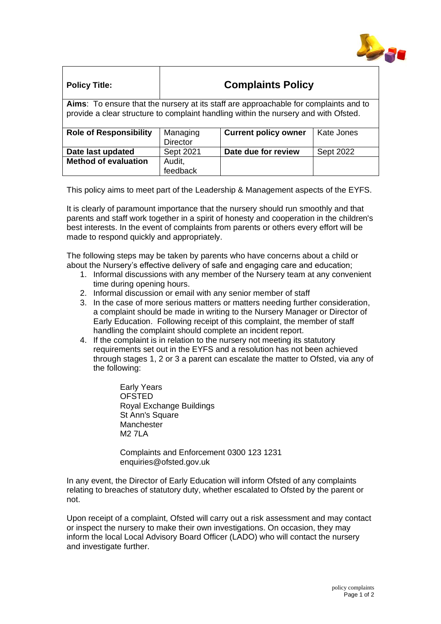

| <b>Policy Title:</b>                                                                                                                                                        | <b>Complaints Policy</b>    |                             |            |
|-----------------------------------------------------------------------------------------------------------------------------------------------------------------------------|-----------------------------|-----------------------------|------------|
| Aims: To ensure that the nursery at its staff are approachable for complaints and to<br>provide a clear structure to complaint handling within the nursery and with Ofsted. |                             |                             |            |
| <b>Role of Responsibility</b>                                                                                                                                               | Managing<br><b>Director</b> | <b>Current policy owner</b> | Kate Jones |
| Date last updated                                                                                                                                                           | Sept 2021                   | Date due for review         | Sept 2022  |
| <b>Method of evaluation</b>                                                                                                                                                 | Audit,<br>feedback          |                             |            |

This policy aims to meet part of the Leadership & Management aspects of the EYFS.

It is clearly of paramount importance that the nursery should run smoothly and that parents and staff work together in a spirit of honesty and cooperation in the children's best interests. In the event of complaints from parents or others every effort will be made to respond quickly and appropriately.

The following steps may be taken by parents who have concerns about a child or about the Nursery's effective delivery of safe and engaging care and education;

- 1. Informal discussions with any member of the Nursery team at any convenient time during opening hours.
- 2. Informal discussion or email with any senior member of staff
- 3. In the case of more serious matters or matters needing further consideration, a complaint should be made in writing to the Nursery Manager or Director of Early Education. Following receipt of this complaint, the member of staff handling the complaint should complete an incident report.
- 4. If the complaint is in relation to the nursery not meeting its statutory requirements set out in the EYFS and a resolution has not been achieved through stages 1, 2 or 3 a parent can escalate the matter to Ofsted, via any of the following:

Early Years **OFSTED** Royal Exchange Buildings St Ann's Square **Manchester** M2 7LA

Complaints and Enforcement 0300 123 1231 enquiries@ofsted.gov.uk

In any event, the Director of Early Education will inform Ofsted of any complaints relating to breaches of statutory duty, whether escalated to Ofsted by the parent or not.

Upon receipt of a complaint, Ofsted will carry out a risk assessment and may contact or inspect the nursery to make their own investigations. On occasion, they may inform the local Local Advisory Board Officer (LADO) who will contact the nursery and investigate further.